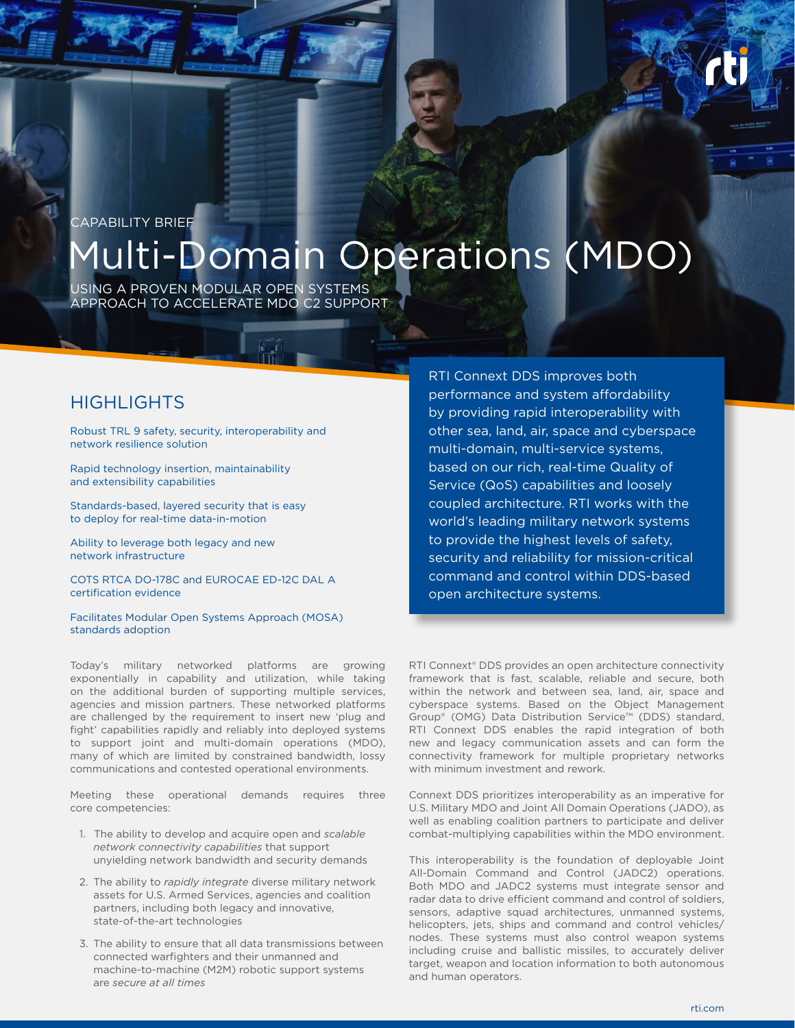## CAPABILITY BRIEF

# Multi-Domain Operations (MDO)

USING A PROVEN MODULAR OPEN SYSTEMS APPROACH TO ACCELERATE MDO C2 SUPPORT

## **HIGHLIGHTS**

Robust TRL 9 safety, security, interoperability and network resilience solution

Rapid technology insertion, maintainability and extensibility capabilities

Standards-based, layered security that is easy to deploy for real-time data-in-motion

Ability to leverage both legacy and new network infrastructure

COTS RTCA DO-178C and EUROCAE ED-12C DAL A certification evidence

Facilitates Modular Open Systems Approach (MOSA) standards adoption

Today's military networked platforms are growing exponentially in capability and utilization, while taking on the additional burden of supporting multiple services, agencies and mission partners. These networked platforms are challenged by the requirement to insert new 'plug and fight' capabilities rapidly and reliably into deployed systems to support joint and multi-domain operations (MDO), many of which are limited by constrained bandwidth, lossy communications and contested operational environments.

Meeting these operational demands requires three core competencies:

- 1. The ability to develop and acquire open and *scalable network connectivity capabilities* that support unyielding network bandwidth and security demands
- 2. The ability to *rapidly integrate* diverse military network assets for U.S. Armed Services, agencies and coalition partners, including both legacy and innovative, state-of-the-art technologies
- 3. The ability to ensure that all data transmissions between connected warfighters and their unmanned and machine-to-machine (M2M) robotic support systems are *secure at all times*

RTI Connext DDS improves both performance and system affordability by providing rapid interoperability with other sea, land, air, space and cyberspace multi-domain, multi-service systems, based on our rich, real-time Quality of Service (QoS) capabilities and loosely coupled architecture. RTI works with the world's leading military network systems to provide the highest levels of safety, security and reliability for mission-critical command and control within DDS-based open architecture systems.

RTI Connext® DDS provides an open architecture connectivity framework that is fast, scalable, reliable and secure, both within the network and between sea, land, air, space and cyberspace systems. Based on the Object Management Group® (OMG) Data Distribution Service™ (DDS) standard, RTI Connext DDS enables the rapid integration of both new and legacy communication assets and can form the connectivity framework for multiple proprietary networks with minimum investment and rework.

Connext DDS prioritizes interoperability as an imperative for U.S. Military MDO and Joint All Domain Operations (JADO), as well as enabling coalition partners to participate and deliver combat-multiplying capabilities within the MDO environment.

This interoperability is the foundation of deployable Joint All-Domain Command and Control (JADC2) operations. Both MDO and JADC2 systems must integrate sensor and radar data to drive efficient command and control of soldiers, sensors, adaptive squad architectures, unmanned systems, helicopters, jets, ships and command and control vehicles/ nodes. These systems must also control weapon systems including cruise and ballistic missiles, to accurately deliver target, weapon and location information to both autonomous and human operators.